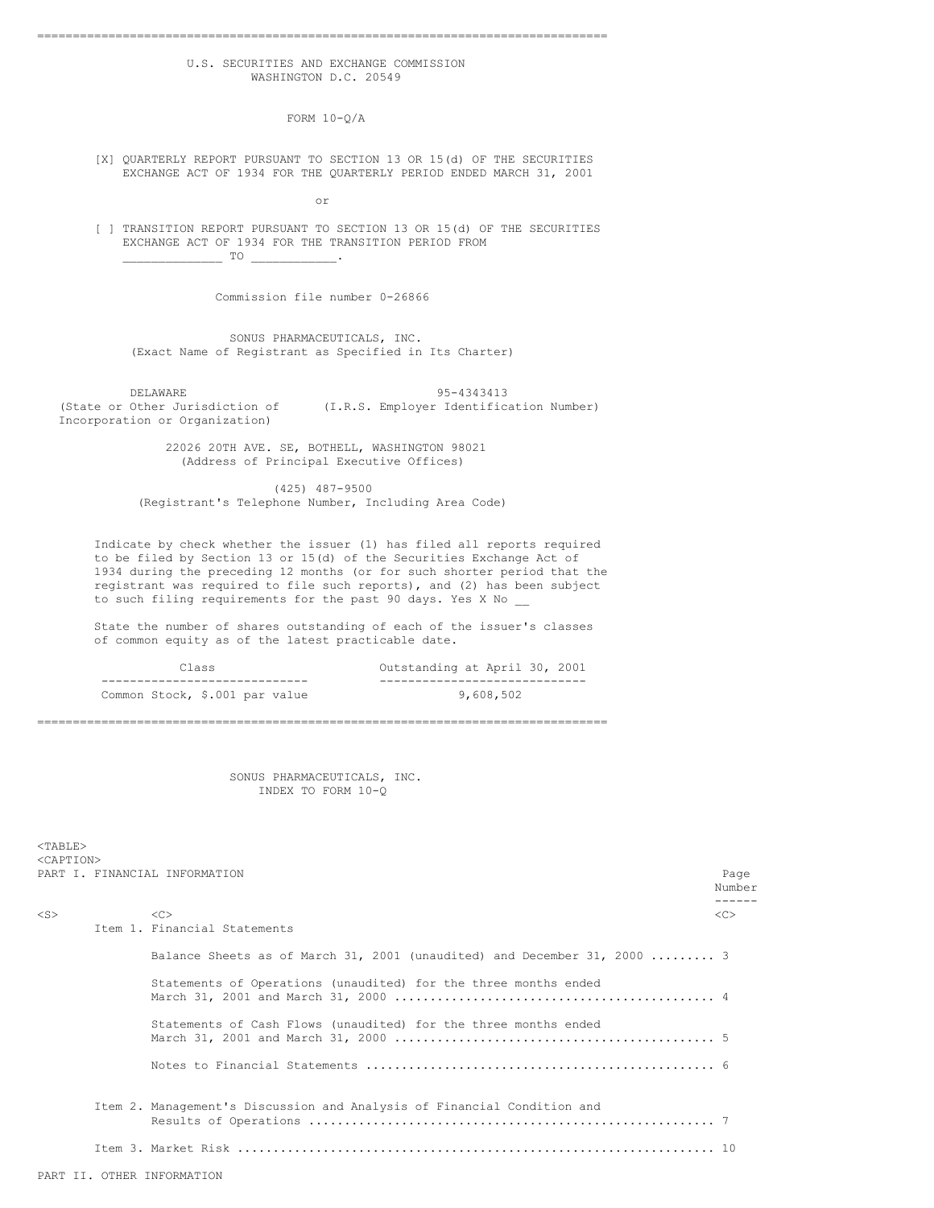### U.S. SECURITIES AND EXCHANGE COMMISSION WASHINGTON D.C. 20549

================================================================================

FORM 10-Q/A

[X] QUARTERLY REPORT PURSUANT TO SECTION 13 OR 15(d) OF THE SECURITIES EXCHANGE ACT OF 1934 FOR THE QUARTERLY PERIOD ENDED MARCH 31, 2001

or

[ ] TRANSITION REPORT PURSUANT TO SECTION 13 OR 15(d) OF THE SECURITIES EXCHANGE ACT OF 1934 FOR THE TRANSITION PERIOD FROM  $\Box$  TO  $\Box$  .

Commission file number 0-26866

SONUS PHARMACEUTICALS, INC. (Exact Name of Registrant as Specified in Its Charter)

DELAWARE 95-4343413<br>(State or Other Jurisdiction of (I.R.S. Employer Identific (I.R.S. Employer Identification Number) Incorporation or Organization)

> 22026 20TH AVE. SE, BOTHELL, WASHINGTON 98021 (Address of Principal Executive Offices)

(425) 487-9500 (Registrant's Telephone Number, Including Area Code)

Indicate by check whether the issuer (1) has filed all reports required to be filed by Section 13 or 15(d) of the Securities Exchange Act of 1934 during the preceding 12 months (or for such shorter period that the registrant was required to file such reports), and (2) has been subject to such filing requirements for the past 90 days. Yes X No

State the number of shares outstanding of each of the issuer's classes of common equity as of the latest practicable date.

| Class                          | Outstanding at April 30, 2001 |
|--------------------------------|-------------------------------|
|                                |                               |
| Common Stock, \$.001 par value | 9,608,502                     |

================================================================================

SONUS PHARMACEUTICALS, INC. INDEX TO FORM 10-Q

<TABLE> <CAPTION> PART I. FINANCIAL INFORMATION Page

|           | TINI I. IININULIN INIULUIIIIU                                            | rayo<br>Number<br>------ |
|-----------|--------------------------------------------------------------------------|--------------------------|
| $<$ S $>$ | < <sub></sub>                                                            | < <sub></sub>            |
|           | Item 1. Financial Statements                                             |                          |
|           | Balance Sheets as of March 31, 2001 (unaudited) and December 31, 2000  3 |                          |
|           | Statements of Operations (unaudited) for the three months ended          |                          |
|           | Statements of Cash Flows (unaudited) for the three months ended          |                          |
|           |                                                                          |                          |
|           | Item 2. Management's Discussion and Analysis of Financial Condition and  |                          |
|           |                                                                          |                          |
|           | PART II. OTHER INFORMATION                                               |                          |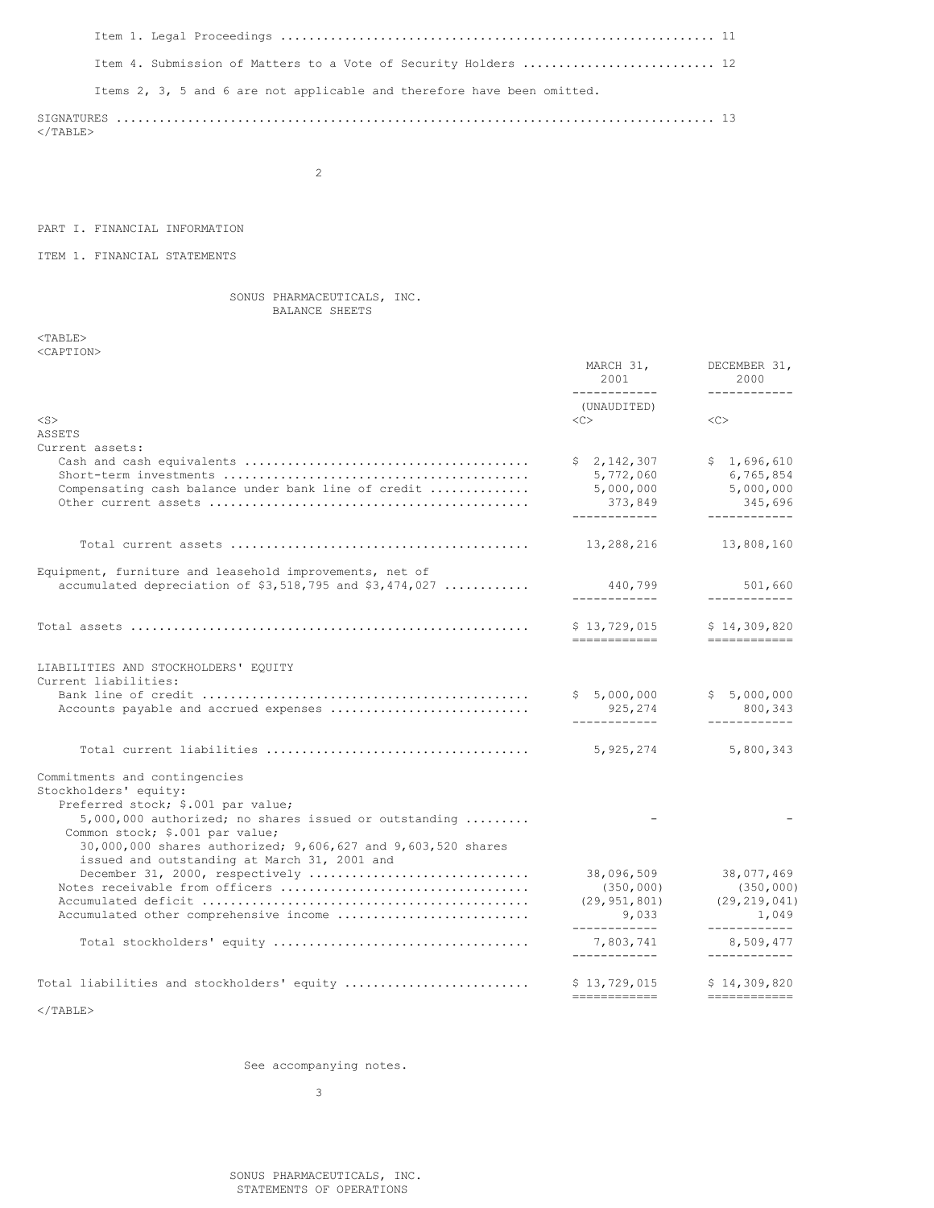| Item 4. Submission of Matters to a Vote of Security Holders  12         |  |
|-------------------------------------------------------------------------|--|
| Items 2, 3, 5 and 6 are not applicable and therefore have been omitted. |  |
| $<$ /TABLE>                                                             |  |

2

# PART I. FINANCIAL INFORMATION

# ITEM 1. FINANCIAL STATEMENTS

## SONUS PHARMACEUTICALS, INC. BALANCE SHEETS

<TABLE> <CAPTION>

|                                                                                                              | MARCH 31,<br>2001<br>____________ | DECEMBER 31,<br>2000<br>____________                                                                                                                                                                                                                                                                                                                                                                                                              |
|--------------------------------------------------------------------------------------------------------------|-----------------------------------|---------------------------------------------------------------------------------------------------------------------------------------------------------------------------------------------------------------------------------------------------------------------------------------------------------------------------------------------------------------------------------------------------------------------------------------------------|
|                                                                                                              | (UNAUDITED)                       |                                                                                                                                                                                                                                                                                                                                                                                                                                                   |
| $<$ S $>$                                                                                                    | <<                                | <<                                                                                                                                                                                                                                                                                                                                                                                                                                                |
| ASSETS                                                                                                       |                                   |                                                                                                                                                                                                                                                                                                                                                                                                                                                   |
| Current assets:                                                                                              | \$2,142,307                       | \$1,696,610                                                                                                                                                                                                                                                                                                                                                                                                                                       |
|                                                                                                              | 5,772,060                         | 6,765,854                                                                                                                                                                                                                                                                                                                                                                                                                                         |
| Compensating cash balance under bank line of credit                                                          | 5,000,000                         | 5,000,000                                                                                                                                                                                                                                                                                                                                                                                                                                         |
|                                                                                                              | 373,849<br>------------           | 345,696<br>------------                                                                                                                                                                                                                                                                                                                                                                                                                           |
|                                                                                                              | 13,288,216                        | 13,808,160                                                                                                                                                                                                                                                                                                                                                                                                                                        |
|                                                                                                              |                                   |                                                                                                                                                                                                                                                                                                                                                                                                                                                   |
| Equipment, furniture and leasehold improvements, net of                                                      |                                   |                                                                                                                                                                                                                                                                                                                                                                                                                                                   |
| accumulated depreciation of $$3,518,795$ and $$3,474,027$                                                    | 440,799<br>____________           | 501,660<br>------------                                                                                                                                                                                                                                                                                                                                                                                                                           |
|                                                                                                              | \$13,729,015<br>------------      | \$14,309,820<br>=============                                                                                                                                                                                                                                                                                                                                                                                                                     |
| LIABILITIES AND STOCKHOLDERS' EQUITY<br>Current liabilities:                                                 |                                   |                                                                                                                                                                                                                                                                                                                                                                                                                                                   |
|                                                                                                              | \$5,000,000                       | \$5,000,000                                                                                                                                                                                                                                                                                                                                                                                                                                       |
| Accounts payable and accrued expenses                                                                        | 925,274<br>____________           | 800,343<br>------------                                                                                                                                                                                                                                                                                                                                                                                                                           |
|                                                                                                              | 5,925,274                         | 5,800,343                                                                                                                                                                                                                                                                                                                                                                                                                                         |
| Commitments and contingencies<br>Stockholders' equity:                                                       |                                   |                                                                                                                                                                                                                                                                                                                                                                                                                                                   |
| Preferred stock; \$.001 par value;                                                                           |                                   |                                                                                                                                                                                                                                                                                                                                                                                                                                                   |
| 5,000,000 authorized; no shares issued or outstanding                                                        |                                   |                                                                                                                                                                                                                                                                                                                                                                                                                                                   |
| Common stock; \$.001 par value;                                                                              |                                   |                                                                                                                                                                                                                                                                                                                                                                                                                                                   |
| 30,000,000 shares authorized; 9,606,627 and 9,603,520 shares<br>issued and outstanding at March 31, 2001 and |                                   |                                                                                                                                                                                                                                                                                                                                                                                                                                                   |
| December 31, 2000, respectively                                                                              | 38,096,509                        | 38,077,469                                                                                                                                                                                                                                                                                                                                                                                                                                        |
|                                                                                                              | (350, 000)                        | (350, 000)                                                                                                                                                                                                                                                                                                                                                                                                                                        |
|                                                                                                              | (29, 951, 801)                    | (29, 219, 041)                                                                                                                                                                                                                                                                                                                                                                                                                                    |
| Accumulated other comprehensive income                                                                       | 9,033<br>------------             | 1,049<br>____________                                                                                                                                                                                                                                                                                                                                                                                                                             |
|                                                                                                              | 7,803,741<br>____________         | 8,509,477<br>------------                                                                                                                                                                                                                                                                                                                                                                                                                         |
| Total liabilities and stockholders' equity                                                                   | \$13,729,015                      | \$14,309,820                                                                                                                                                                                                                                                                                                                                                                                                                                      |
| $<$ /TABLE>                                                                                                  | ============                      | $\begin{minipage}{0.9\linewidth} \begin{tabular}{l} \hline \textbf{m} & \textbf{m} & \textbf{m} & \textbf{m} & \textbf{m} \\ \hline \textbf{m} & \textbf{m} & \textbf{m} & \textbf{m} & \textbf{m} \\ \hline \textbf{m} & \textbf{m} & \textbf{m} & \textbf{m} & \textbf{m} \\ \hline \textbf{m} & \textbf{m} & \textbf{m} & \textbf{m} & \textbf{m} \\ \hline \textbf{m} & \textbf{m} & \textbf{m} & \textbf{m} & \textbf{m} & \textbf{m} \\ \h$ |
|                                                                                                              |                                   |                                                                                                                                                                                                                                                                                                                                                                                                                                                   |

See accompanying notes.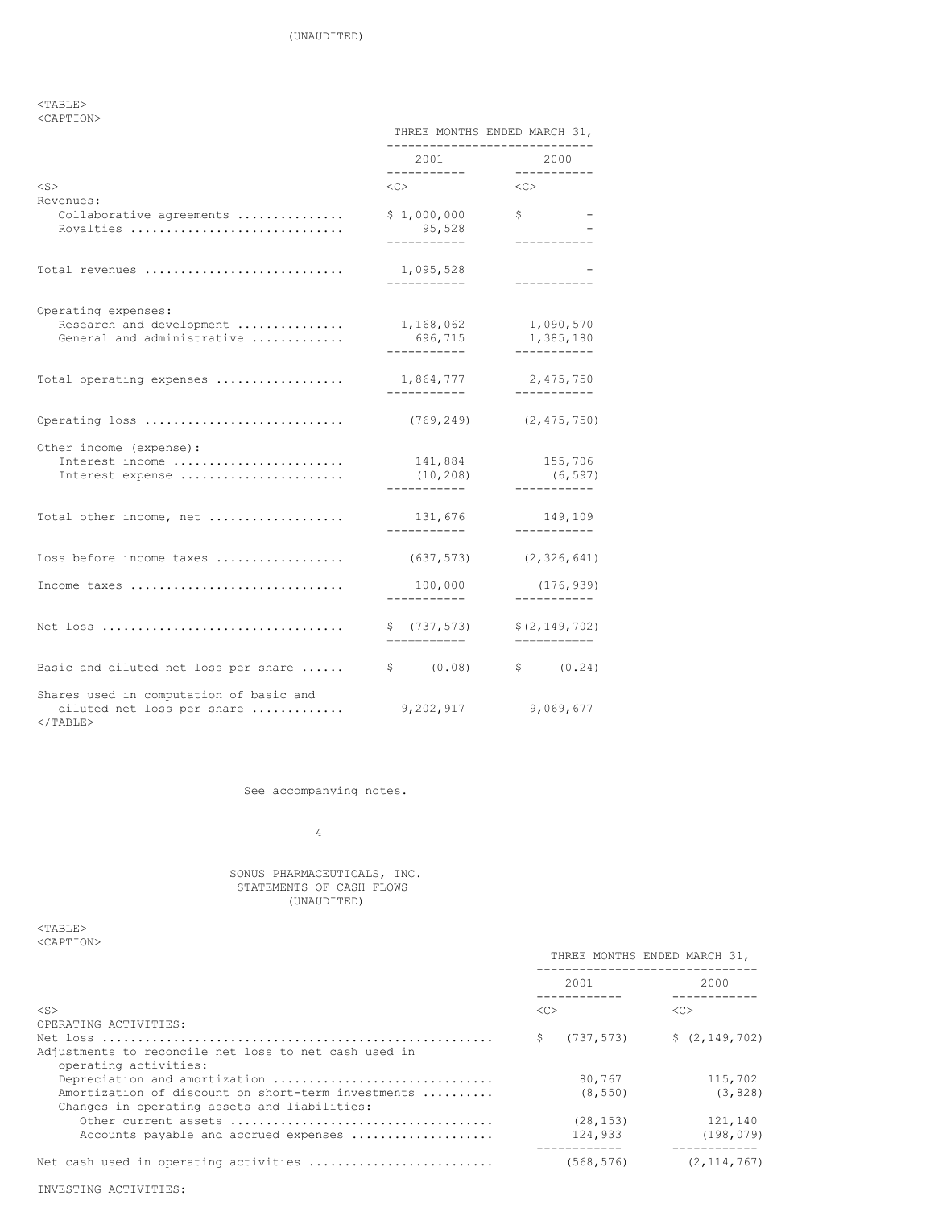## $<$ TABLE $>$ <CAPTION>

|                                                                                      | THREE MONTHS ENDED MARCH 31,<br>-------------------- |                                      |
|--------------------------------------------------------------------------------------|------------------------------------------------------|--------------------------------------|
|                                                                                      | 2001<br>-----------                                  | 2000<br>___________                  |
| $<$ S $>$                                                                            | $\langle C \rangle$                                  | $<<$ $>$                             |
| Revenues:<br>Collaborative agreements<br>Royalties                                   | \$1,000,000<br>95,528                                | \$<br>-----------                    |
| Total revenues                                                                       | 1,095,528<br>------------                            | -----------                          |
| Operating expenses:<br>Research and development<br>General and administrative        | 1,168,062<br>696,715<br>. <u>.</u>                   | 1,090,570<br>1,385,180<br>---------- |
| Total operating expenses                                                             | 1,864,777<br>___________                             | 2,475,750<br>-----------             |
| Operating loss                                                                       | (769, 249)                                           | (2, 475, 750)                        |
| Other income (expense):<br>Interest income<br>Interest expense                       | 141,884<br>(10, 208)<br>. _ _ _ _ _ _ _ _ _ _        | 155,706<br>(6, 597)<br>.             |
| Total other income, net                                                              | 131,676<br>------------                              | 149,109<br>-----------               |
| Loss before income taxes                                                             | (637, 573)                                           | (2, 326, 641)                        |
| Income taxes                                                                         | 100,000                                              | (176, 939)<br>---------              |
|                                                                                      | \$(737, 573)<br>------------                         | \$(2, 149, 702)<br>============      |
| Basic and diluted net loss per share                                                 |                                                      | $\sin(0.08)$ $\sin(0.24)$            |
| Shares used in computation of basic and<br>diluted net loss per share<br>$<$ /TABLE> | 9,202,917                                            | 9,069,677                            |

# See accompanying notes.

# 4

#### SONUS PHARMACEUTICALS, INC. STATEMENTS OF CASH FLOWS (UNAUDITED)

## $<sub>TABLE</sub>$ </sub> <CAPTION>

| $\sim$ . A F I I VIV $\sim$                                                                                                         | THREE MONTHS ENDED MARCH 31, |                                      |
|-------------------------------------------------------------------------------------------------------------------------------------|------------------------------|--------------------------------------|
|                                                                                                                                     | 2001<br>------------         | 2000                                 |
| $<$ S $>$                                                                                                                           | < <sub></sub>                | < <sub></sub>                        |
| OPERATING ACTIVITIES:<br>Adjustments to reconcile net loss to net cash used in<br>operating activities:                             | (737, 573)<br>S              | \$(2, 149, 702)                      |
| Depreciation and amortization<br>Amortization of discount on short-term investments<br>Changes in operating assets and liabilities: | 80.767<br>(8, 550)           | 115,702<br>(3, 828)                  |
| Accounts payable and accrued expenses                                                                                               | (28, 153)<br>124,933         | 121,140<br>(198, 079)<br>----------- |
| Net cash used in operating activities                                                                                               | (568, 576)                   | (2, 114, 767)                        |

INVESTING ACTIVITIES: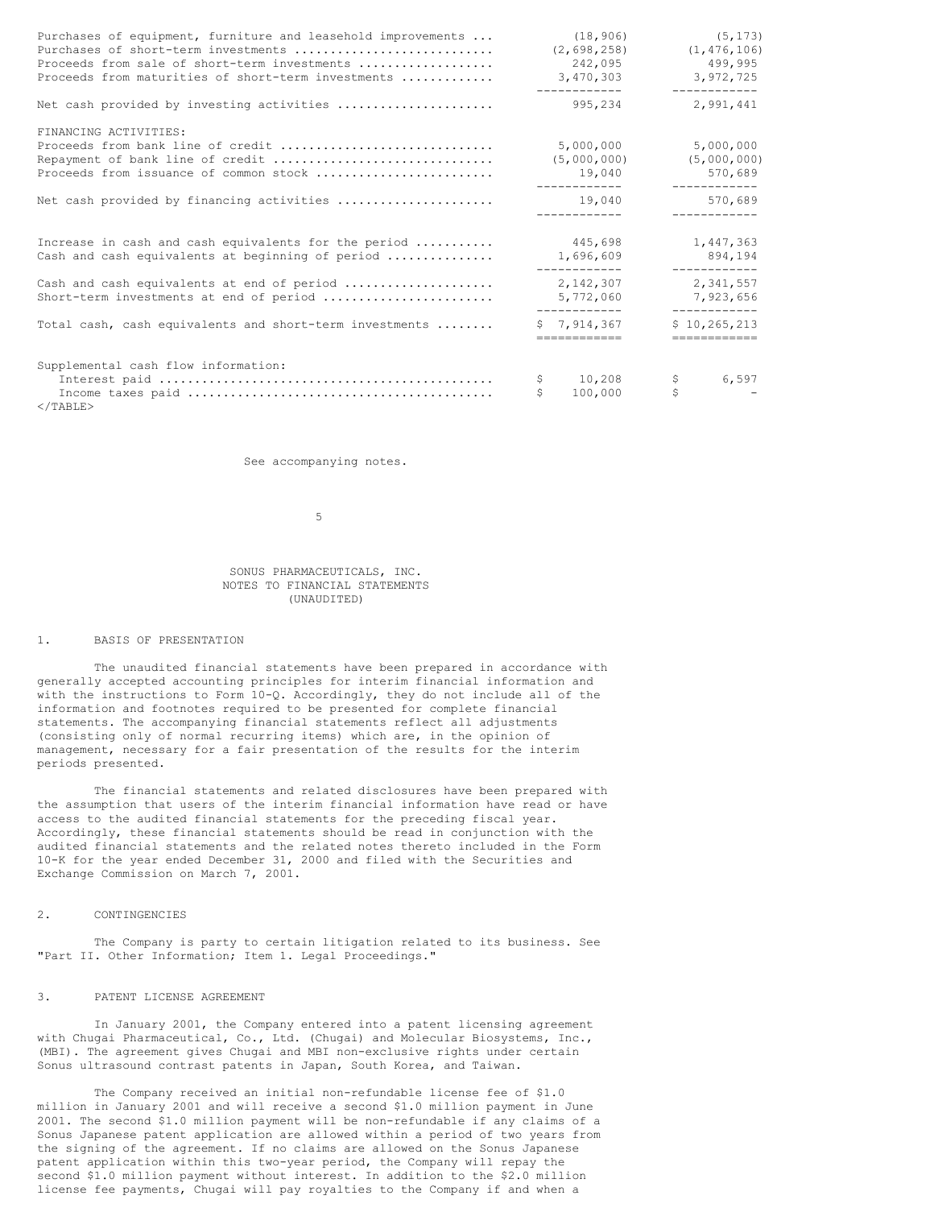| Purchases of equipment, furniture and leasehold improvements<br>Purchases of short-term investments<br>Proceeds from sale of short-term investments<br>Proceeds from maturities of short-term investments | (18, 906)<br>(2, 698, 258)<br>242,095<br>3,470,303<br>------------ | (5, 173)<br>(1, 476, 106)<br>499,995<br>3,972,725<br>____________ |
|-----------------------------------------------------------------------------------------------------------------------------------------------------------------------------------------------------------|--------------------------------------------------------------------|-------------------------------------------------------------------|
| Net cash provided by investing activities                                                                                                                                                                 | 995,234                                                            | 2.991.441                                                         |
| FINANCING ACTIVITIES:<br>Proceeds from bank line of credit<br>Repayment of bank line of credit<br>Proceeds from issuance of common stock                                                                  | 5,000,000<br>(5,000,000)<br>19,040                                 | 5,000,000<br>(5,000,000)<br>570,689                               |
| Net cash provided by financing activities                                                                                                                                                                 | 19,040<br>------------                                             | -------------<br>570,689<br>____________                          |
| Increase in cash and cash equivalents for the period<br>Cash and cash equivalents at beginning of period                                                                                                  | 445,698<br>1,696,609                                               | 1,447,363<br>894,194                                              |
| Cash and cash equivalents at end of period<br>Short-term investments at end of period                                                                                                                     | ------------<br>2,142,307<br>5,772,060<br>------------             | ------------<br>2,341,557<br>7,923,656<br>____________            |
| Total cash, cash equivalents and short-term investments                                                                                                                                                   | \$7,914,367<br>============                                        | \$10, 265, 213<br>============                                    |
| Supplemental cash flow information:                                                                                                                                                                       | $10,208$ \$<br>\$<br>100,000<br>\$                                 | 6,597<br>$\mathsf{S}$                                             |

 $<$ /TABLE>

See accompanying notes.

5

### SONUS PHARMACEUTICALS, INC. NOTES TO FINANCIAL STATEMENTS (UNAUDITED)

#### 1. BASIS OF PRESENTATION

The unaudited financial statements have been prepared in accordance with generally accepted accounting principles for interim financial information and with the instructions to Form 10-Q. Accordingly, they do not include all of the information and footnotes required to be presented for complete financial statements. The accompanying financial statements reflect all adjustments (consisting only of normal recurring items) which are, in the opinion of management, necessary for a fair presentation of the results for the interim periods presented.

The financial statements and related disclosures have been prepared with the assumption that users of the interim financial information have read or have access to the audited financial statements for the preceding fiscal year. Accordingly, these financial statements should be read in conjunction with the audited financial statements and the related notes thereto included in the Form 10-K for the year ended December 31, 2000 and filed with the Securities and Exchange Commission on March 7, 2001.

#### 2. CONTINGENCIES

The Company is party to certain litigation related to its business. See "Part II. Other Information; Item 1. Legal Proceedings."

## 3. PATENT LICENSE AGREEMENT

In January 2001, the Company entered into a patent licensing agreement with Chugai Pharmaceutical, Co., Ltd. (Chugai) and Molecular Biosystems, Inc., (MBI). The agreement gives Chugai and MBI non-exclusive rights under certain Sonus ultrasound contrast patents in Japan, South Korea, and Taiwan.

The Company received an initial non-refundable license fee of \$1.0 million in January 2001 and will receive a second \$1.0 million payment in June 2001. The second \$1.0 million payment will be non-refundable if any claims of a Sonus Japanese patent application are allowed within a period of two years from the signing of the agreement. If no claims are allowed on the Sonus Japanese patent application within this two-year period, the Company will repay the second \$1.0 million payment without interest. In addition to the \$2.0 million license fee payments, Chugai will pay royalties to the Company if and when a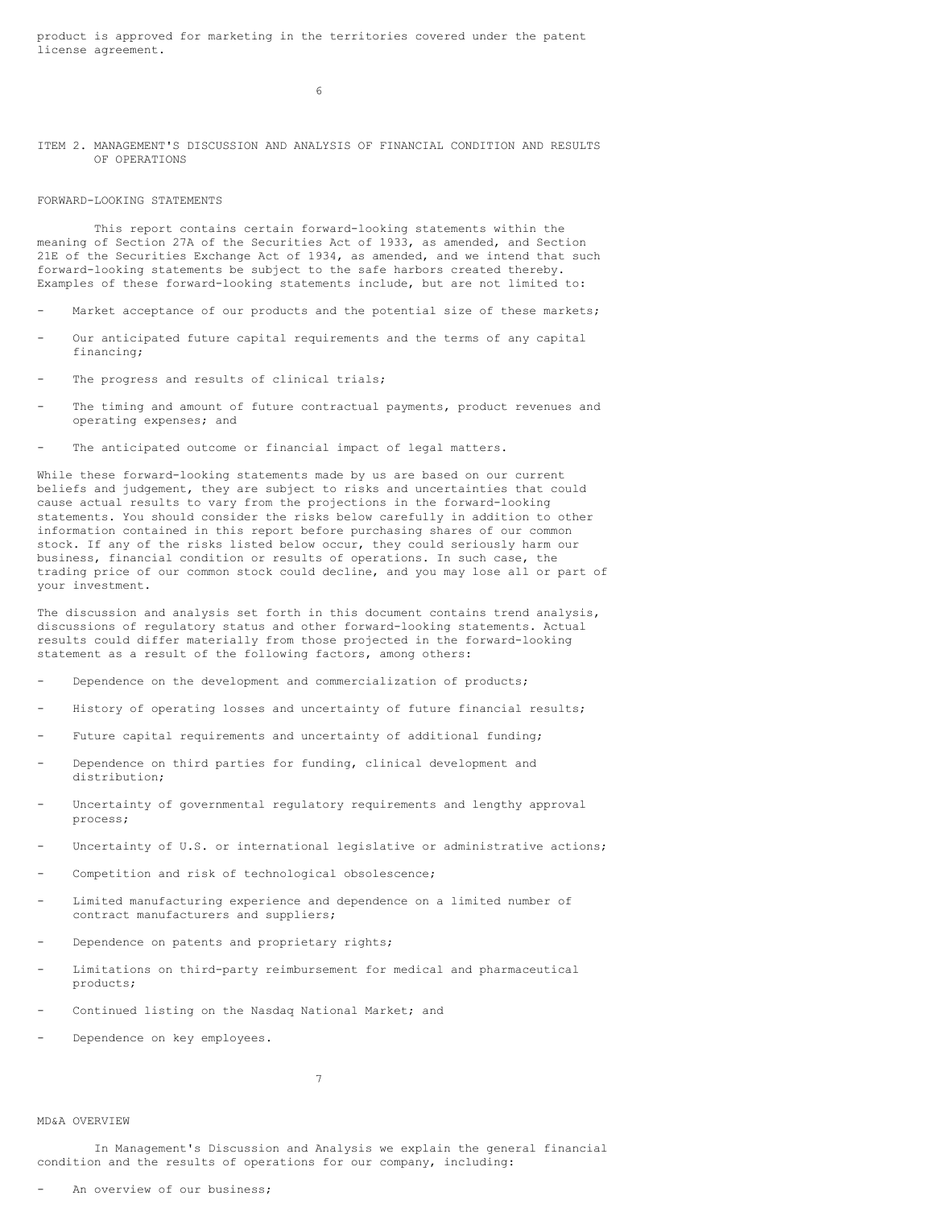product is approved for marketing in the territories covered under the patent license agreement.

6

### ITEM 2. MANAGEMENT'S DISCUSSION AND ANALYSIS OF FINANCIAL CONDITION AND RESULTS OF OPERATIONS

### FORWARD-LOOKING STATEMENTS

This report contains certain forward-looking statements within the meaning of Section 27A of the Securities Act of 1933, as amended, and Section 21E of the Securities Exchange Act of 1934, as amended, and we intend that such forward-looking statements be subject to the safe harbors created thereby. Examples of these forward-looking statements include, but are not limited to:

- Market acceptance of our products and the potential size of these markets;
- Our anticipated future capital requirements and the terms of any capital financing;
- The progress and results of clinical trials;
- The timing and amount of future contractual payments, product revenues and operating expenses; and
- The anticipated outcome or financial impact of legal matters.

While these forward-looking statements made by us are based on our current beliefs and judgement, they are subject to risks and uncertainties that could cause actual results to vary from the projections in the forward-looking statements. You should consider the risks below carefully in addition to other information contained in this report before purchasing shares of our common stock. If any of the risks listed below occur, they could seriously harm our business, financial condition or results of operations. In such case, the trading price of our common stock could decline, and you may lose all or part of your investment.

The discussion and analysis set forth in this document contains trend analysis, discussions of regulatory status and other forward-looking statements. Actual results could differ materially from those projected in the forward-looking statement as a result of the following factors, among others:

- Dependence on the development and commercialization of products;
- History of operating losses and uncertainty of future financial results;
- Future capital requirements and uncertainty of additional funding;
- Dependence on third parties for funding, clinical development and distribution;
- Uncertainty of governmental regulatory requirements and lengthy approval process;
- Uncertainty of U.S. or international legislative or administrative actions;
- Competition and risk of technological obsolescence;
- Limited manufacturing experience and dependence on a limited number of contract manufacturers and suppliers;
- Dependence on patents and proprietary rights;
- Limitations on third-party reimbursement for medical and pharmaceutical products;
- Continued listing on the Nasdaq National Market; and
- Dependence on key employees.

7

### MD&A OVERVIEW

In Management's Discussion and Analysis we explain the general financial condition and the results of operations for our company, including:

An overview of our business: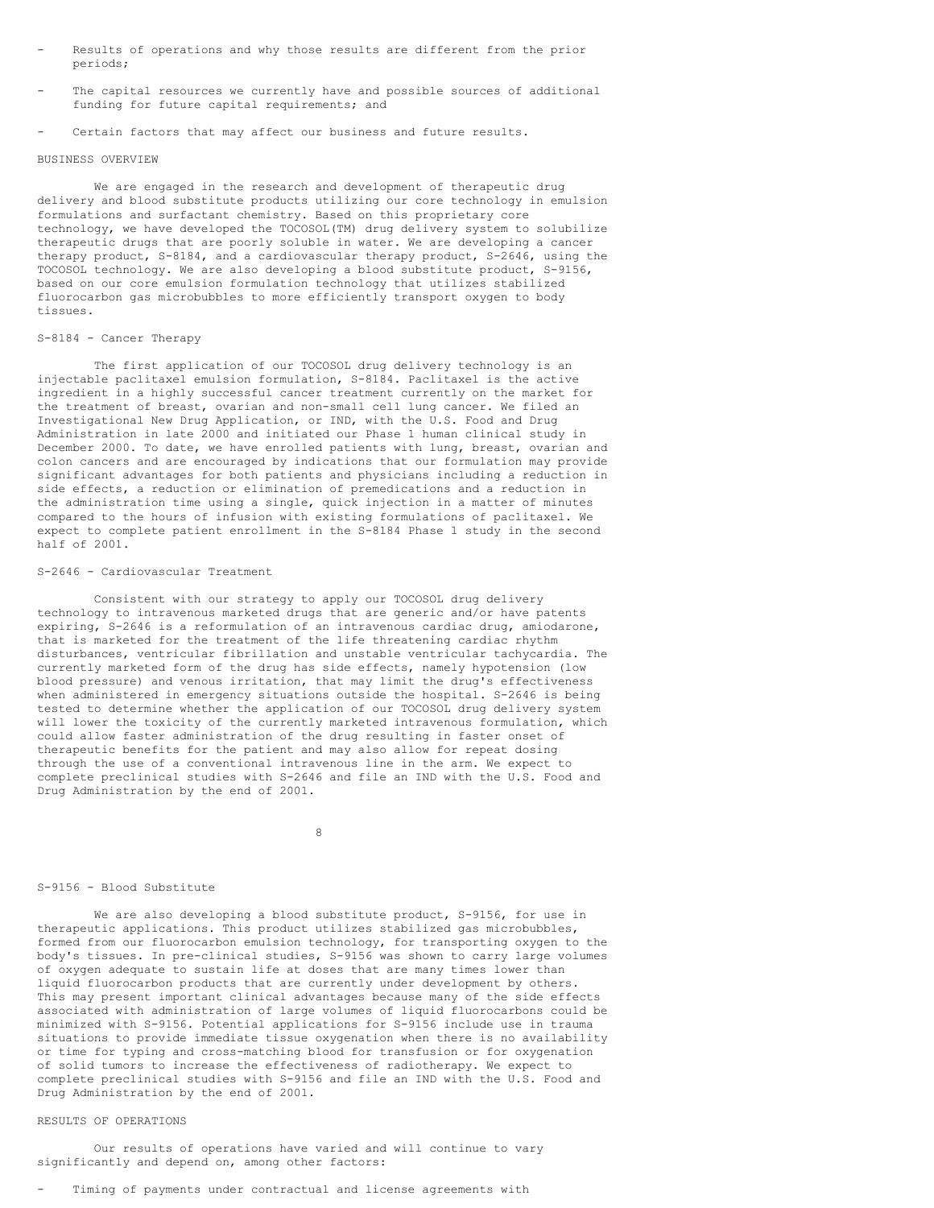- Results of operations and why those results are different from the prior periods;
- The capital resources we currently have and possible sources of additional funding for future capital requirements; and
- Certain factors that may affect our business and future results.

#### BUSINESS OVERVIEW

We are engaged in the research and development of therapeutic drug delivery and blood substitute products utilizing our core technology in emulsion formulations and surfactant chemistry. Based on this proprietary core technology, we have developed the TOCOSOL(TM) drug delivery system to solubilize therapeutic drugs that are poorly soluble in water. We are developing a cancer therapy product, S-8184, and a cardiovascular therapy product, S-2646, using the TOCOSOL technology. We are also developing a blood substitute product, S-9156, based on our core emulsion formulation technology that utilizes stabilized fluorocarbon gas microbubbles to more efficiently transport oxygen to body tissues.

#### S-8184 - Cancer Therapy

The first application of our TOCOSOL drug delivery technology is an injectable paclitaxel emulsion formulation, S-8184. Paclitaxel is the active ingredient in a highly successful cancer treatment currently on the market for the treatment of breast, ovarian and non-small cell lung cancer. We filed an Investigational New Drug Application, or IND, with the U.S. Food and Drug Administration in late 2000 and initiated our Phase 1 human clinical study in December 2000. To date, we have enrolled patients with lung, breast, ovarian and colon cancers and are encouraged by indications that our formulation may provide significant advantages for both patients and physicians including a reduction in side effects, a reduction or elimination of premedications and a reduction in the administration time using a single, quick injection in a matter of minutes compared to the hours of infusion with existing formulations of paclitaxel. We expect to complete patient enrollment in the S-8184 Phase 1 study in the second half of 2001.

### S-2646 - Cardiovascular Treatment

Consistent with our strategy to apply our TOCOSOL drug delivery technology to intravenous marketed drugs that are generic and/or have patents expiring, S-2646 is a reformulation of an intravenous cardiac drug, amiodarone, that is marketed for the treatment of the life threatening cardiac rhythm disturbances, ventricular fibrillation and unstable ventricular tachycardia. The currently marketed form of the drug has side effects, namely hypotension (low blood pressure) and venous irritation, that may limit the drug's effectiveness when administered in emergency situations outside the hospital. S-2646 is being tested to determine whether the application of our TOCOSOL drug delivery system will lower the toxicity of the currently marketed intravenous formulation, which could allow faster administration of the drug resulting in faster onset of therapeutic benefits for the patient and may also allow for repeat dosing through the use of a conventional intravenous line in the arm. We expect to complete preclinical studies with S-2646 and file an IND with the U.S. Food and Drug Administration by the end of 2001.

8

### S-9156 - Blood Substitute

We are also developing a blood substitute product, S-9156, for use in therapeutic applications. This product utilizes stabilized gas microbubbles, formed from our fluorocarbon emulsion technology, for transporting oxygen to the body's tissues. In pre-clinical studies, S-9156 was shown to carry large volumes of oxygen adequate to sustain life at doses that are many times lower than liquid fluorocarbon products that are currently under development by others. This may present important clinical advantages because many of the side effects associated with administration of large volumes of liquid fluorocarbons could be minimized with S-9156. Potential applications for S-9156 include use in trauma situations to provide immediate tissue oxygenation when there is no availability or time for typing and cross-matching blood for transfusion or for oxygenation of solid tumors to increase the effectiveness of radiotherapy. We expect to complete preclinical studies with S-9156 and file an IND with the U.S. Food and Drug Administration by the end of 2001.

#### RESULTS OF OPERATIONS

Our results of operations have varied and will continue to vary significantly and depend on, among other factors:

Timing of payments under contractual and license agreements with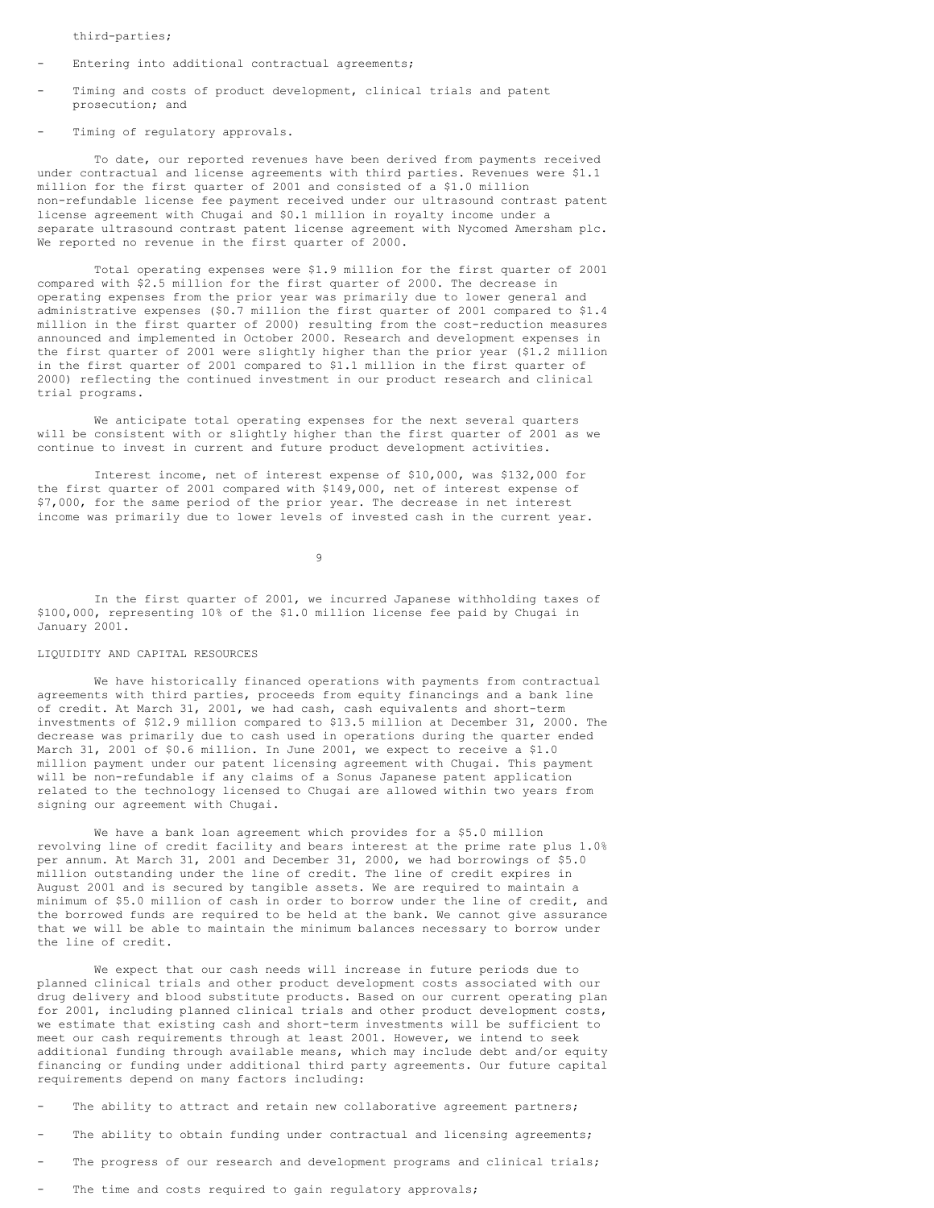third-parties;

- Entering into additional contractual agreements;
- Timing and costs of product development, clinical trials and patent prosecution; and
- Timing of regulatory approvals.

To date, our reported revenues have been derived from payments received under contractual and license agreements with third parties. Revenues were \$1.1 million for the first quarter of 2001 and consisted of a \$1.0 million non-refundable license fee payment received under our ultrasound contrast patent license agreement with Chugai and \$0.1 million in royalty income under a separate ultrasound contrast patent license agreement with Nycomed Amersham plc. We reported no revenue in the first quarter of 2000.

Total operating expenses were \$1.9 million for the first quarter of 2001 compared with \$2.5 million for the first quarter of 2000. The decrease in operating expenses from the prior year was primarily due to lower general and administrative expenses (\$0.7 million the first quarter of 2001 compared to \$1.4 million in the first quarter of 2000) resulting from the cost-reduction measures announced and implemented in October 2000. Research and development expenses in the first quarter of 2001 were slightly higher than the prior year (\$1.2 million in the first quarter of 2001 compared to \$1.1 million in the first quarter of 2000) reflecting the continued investment in our product research and clinical trial programs.

We anticipate total operating expenses for the next several quarters will be consistent with or slightly higher than the first quarter of 2001 as we continue to invest in current and future product development activities.

Interest income, net of interest expense of \$10,000, was \$132,000 for the first quarter of 2001 compared with \$149,000, net of interest expense of \$7,000, for the same period of the prior year. The decrease in net interest income was primarily due to lower levels of invested cash in the current year.

9

In the first quarter of 2001, we incurred Japanese withholding taxes of \$100,000, representing 10% of the \$1.0 million license fee paid by Chugai in January 2001.

# LIQUIDITY AND CAPITAL RESOURCES

We have historically financed operations with payments from contractual agreements with third parties, proceeds from equity financings and a bank line of credit. At March 31, 2001, we had cash, cash equivalents and short-term investments of \$12.9 million compared to \$13.5 million at December 31, 2000. The decrease was primarily due to cash used in operations during the quarter ended March 31, 2001 of \$0.6 million. In June 2001, we expect to receive a \$1.0 million payment under our patent licensing agreement with Chugai. This payment will be non-refundable if any claims of a Sonus Japanese patent application related to the technology licensed to Chugai are allowed within two years from signing our agreement with Chugai.

We have a bank loan agreement which provides for a \$5.0 million revolving line of credit facility and bears interest at the prime rate plus 1.0% per annum. At March 31, 2001 and December 31, 2000, we had borrowings of \$5.0 million outstanding under the line of credit. The line of credit expires in August 2001 and is secured by tangible assets. We are required to maintain a minimum of \$5.0 million of cash in order to borrow under the line of credit, and the borrowed funds are required to be held at the bank. We cannot give assurance that we will be able to maintain the minimum balances necessary to borrow under the line of credit.

We expect that our cash needs will increase in future periods due to planned clinical trials and other product development costs associated with our drug delivery and blood substitute products. Based on our current operating plan for 2001, including planned clinical trials and other product development costs, we estimate that existing cash and short-term investments will be sufficient to meet our cash requirements through at least 2001. However, we intend to seek additional funding through available means, which may include debt and/or equity financing or funding under additional third party agreements. Our future capital requirements depend on many factors including:

- The ability to attract and retain new collaborative agreement partners;
- The ability to obtain funding under contractual and licensing agreements;
- The progress of our research and development programs and clinical trials;
- The time and costs required to gain regulatory approvals;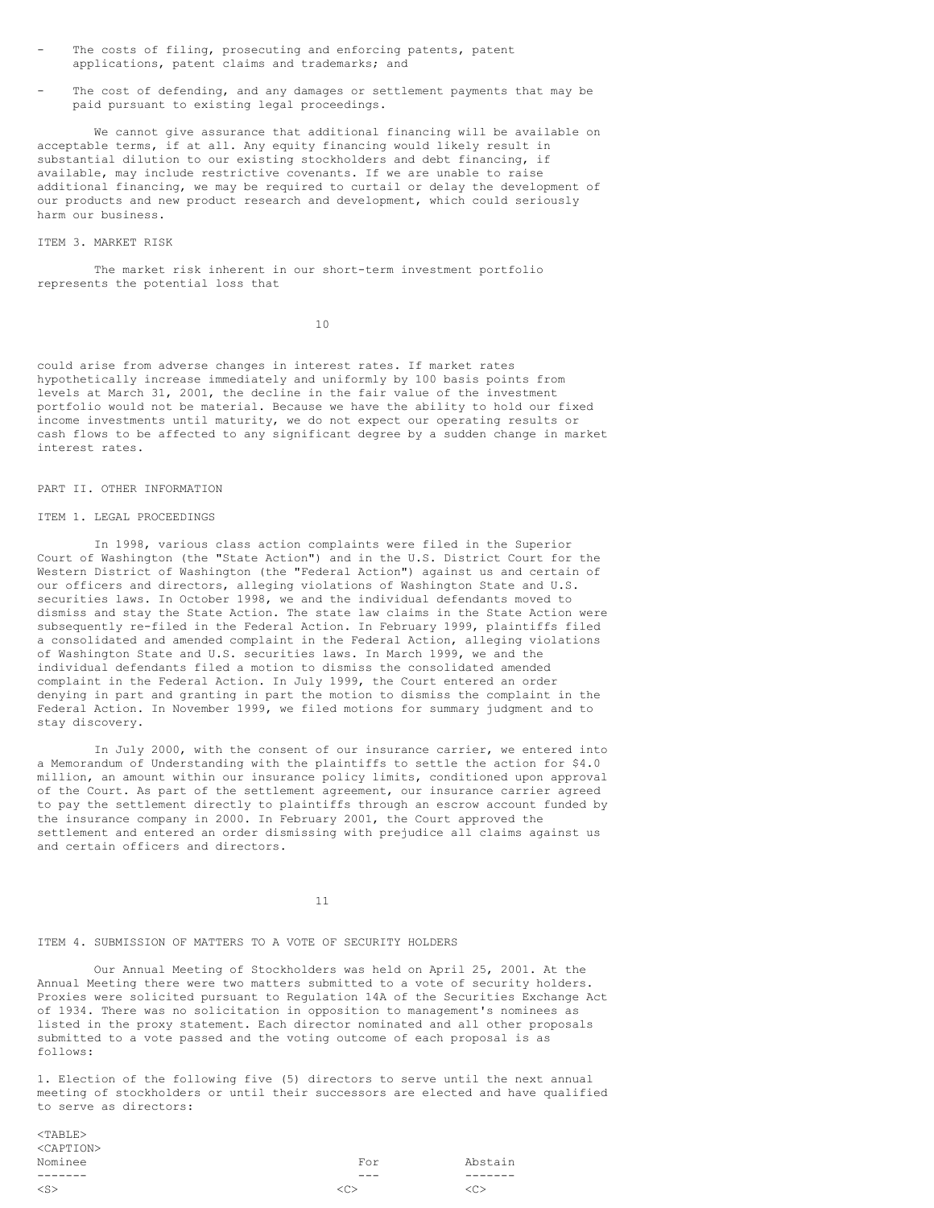- The costs of filing, prosecuting and enforcing patents, patent applications, patent claims and trademarks; and
- The cost of defending, and any damages or settlement payments that may be paid pursuant to existing legal proceedings.

We cannot give assurance that additional financing will be available on acceptable terms, if at all. Any equity financing would likely result in substantial dilution to our existing stockholders and debt financing, if available, may include restrictive covenants. If we are unable to raise additional financing, we may be required to curtail or delay the development of our products and new product research and development, which could seriously harm our business.

#### ITEM 3. MARKET RISK

The market risk inherent in our short-term investment portfolio represents the potential loss that

10

could arise from adverse changes in interest rates. If market rates hypothetically increase immediately and uniformly by 100 basis points from levels at March 31, 2001, the decline in the fair value of the investment portfolio would not be material. Because we have the ability to hold our fixed income investments until maturity, we do not expect our operating results or cash flows to be affected to any significant degree by a sudden change in market interest rates.

#### PART II. OTHER INFORMATION

#### ITEM 1. LEGAL PROCEEDINGS

In 1998, various class action complaints were filed in the Superior Court of Washington (the "State Action") and in the U.S. District Court for the Western District of Washington (the "Federal Action") against us and certain of our officers and directors, alleging violations of Washington State and U.S. securities laws. In October 1998, we and the individual defendants moved to dismiss and stay the State Action. The state law claims in the State Action were subsequently re-filed in the Federal Action. In February 1999, plaintiffs filed a consolidated and amended complaint in the Federal Action, alleging violations of Washington State and U.S. securities laws. In March 1999, we and the individual defendants filed a motion to dismiss the consolidated amended complaint in the Federal Action. In July 1999, the Court entered an order denying in part and granting in part the motion to dismiss the complaint in the Federal Action. In November 1999, we filed motions for summary judgment and to stay discovery.

In July 2000, with the consent of our insurance carrier, we entered into a Memorandum of Understanding with the plaintiffs to settle the action for \$4.0 million, an amount within our insurance policy limits, conditioned upon approval of the Court. As part of the settlement agreement, our insurance carrier agreed to pay the settlement directly to plaintiffs through an escrow account funded by the insurance company in 2000. In February 2001, the Court approved the settlement and entered an order dismissing with prejudice all claims against us and certain officers and directors.

11

### ITEM 4. SUBMISSION OF MATTERS TO A VOTE OF SECURITY HOLDERS

Our Annual Meeting of Stockholders was held on April 25, 2001. At the Annual Meeting there were two matters submitted to a vote of security holders. Proxies were solicited pursuant to Regulation 14A of the Securities Exchange Act of 1934. There was no solicitation in opposition to management's nominees as listed in the proxy statement. Each director nominated and all other proposals submitted to a vote passed and the voting outcome of each proposal is as follows:

1. Election of the following five (5) directors to serve until the next annual meeting of stockholders or until their successors are elected and have qualified to serve as directors:

| $<$ TABLE $>$       |               |                     |
|---------------------|---------------|---------------------|
| <caption></caption> |               |                     |
| Nominee             | For           | Abstain             |
|                     | $---$         |                     |
| $<$ S $>$           | < <sub></sub> | $\langle C \rangle$ |